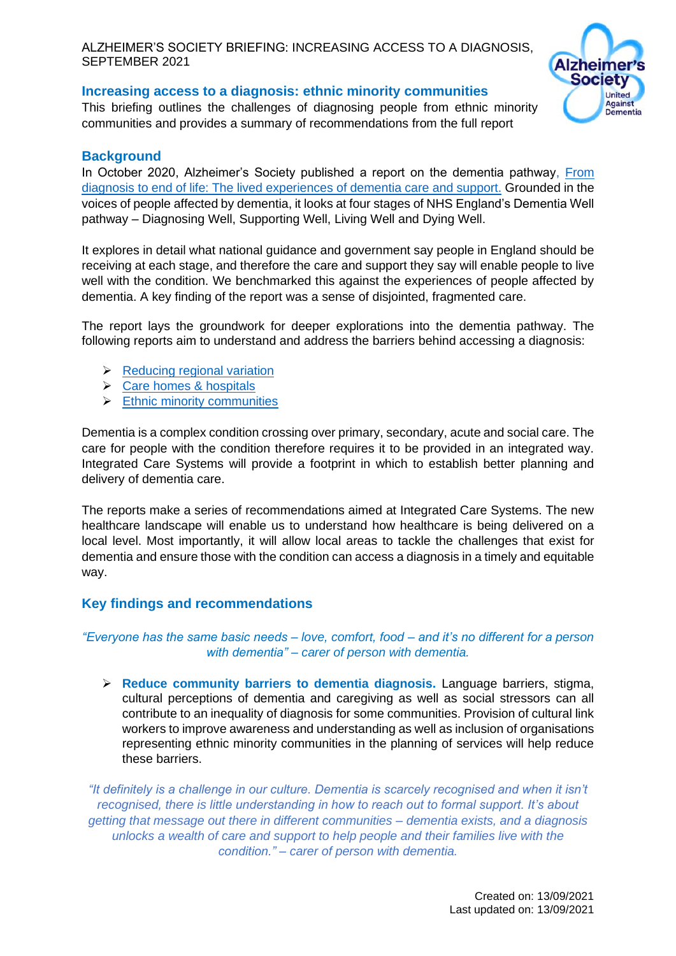## **Increasing access to a diagnosis: ethnic minority communities**

This briefing outlines the challenges of diagnosing people from ethnic minority communities and provides a summary of recommendations from the full report



## **Background**

In October 2020, Alzheimer's Society published a report on the dementia pathwa[y, From](https://www.alzheimers.org.uk/about-us/policy-and-influencing/from-diagnosis-to-end-of-life)  [diagnosis to end of life: The lived experiences of dementia care and support.](https://www.alzheimers.org.uk/about-us/policy-and-influencing/from-diagnosis-to-end-of-life) Grounded in the voices of people affected by dementia, it looks at four stages of NHS England's Dementia Well pathway – Diagnosing Well, Supporting Well, Living Well and Dying Well.

It explores in detail what national guidance and government say people in England should be receiving at each stage, and therefore the care and support they say will enable people to live well with the condition. We benchmarked this against the experiences of people affected by dementia. A key finding of the report was a sense of disjointed, fragmented care.

The report lays the groundwork for deeper explorations into the dementia pathway. The following reports aim to understand and address the barriers behind accessing a diagnosis:

- $\triangleright$  [Reducing regional variation](https://www.alzheimers.org.uk/sites/default/files/2021-09/regional_variations_increasing_access_to_diagnosis.pdf)
- ➢ [Care homes & hospitals](https://www.alzheimers.org.uk/sites/default/files/2021-09/hospitals_and_care_homes_increasing_access_to_diagnosis.pdf)
- ➢ [Ethnic minority communities](https://www.alzheimers.org.uk/sites/default/files/2021-09/ethinic_minorities_increasing_access_to_diagnosis.pdf)

Dementia is a complex condition crossing over primary, secondary, acute and social care. The care for people with the condition therefore requires it to be provided in an integrated way. Integrated Care Systems will provide a footprint in which to establish better planning and delivery of dementia care.

The reports make a series of recommendations aimed at Integrated Care Systems. The new healthcare landscape will enable us to understand how healthcare is being delivered on a local level. Most importantly, it will allow local areas to tackle the challenges that exist for dementia and ensure those with the condition can access a diagnosis in a timely and equitable way.

# **Key findings and recommendations**

# *"Everyone has the same basic needs – love, comfort, food – and it's no different for a person with dementia" – carer of person with dementia.*

➢ **Reduce community barriers to dementia diagnosis.** Language barriers, stigma, cultural perceptions of dementia and caregiving as well as social stressors can all contribute to an inequality of diagnosis for some communities. Provision of cultural link workers to improve awareness and understanding as well as inclusion of organisations representing ethnic minority communities in the planning of services will help reduce these barriers.

*"It definitely is a challenge in our culture. Dementia is scarcely recognised and when it isn't recognised, there is little understanding in how to reach out to formal support. It's about getting that message out there in different communities – dementia exists, and a diagnosis unlocks a wealth of care and support to help people and their families live with the condition." – carer of person with dementia.*